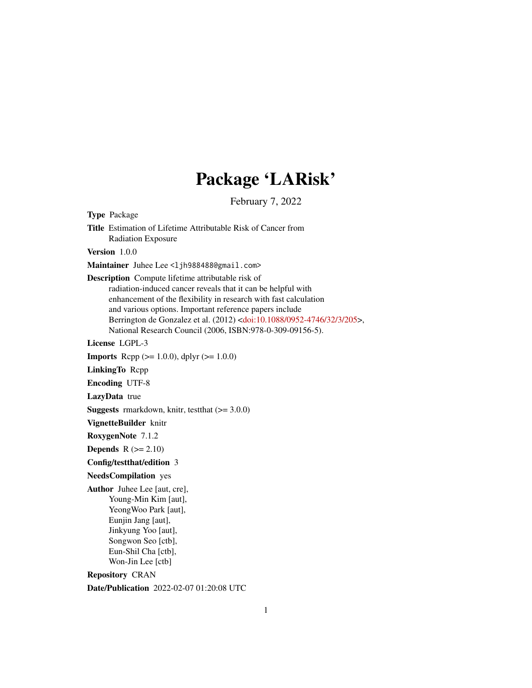# Package 'LARisk'

February 7, 2022

Type Package Title Estimation of Lifetime Attributable Risk of Cancer from Radiation Exposure Version 1.0.0 Maintainer Juhee Lee <ljh988488@gmail.com> Description Compute lifetime attributable risk of radiation-induced cancer reveals that it can be helpful with enhancement of the flexibility in research with fast calculation and various options. Important reference papers include Berrington de Gonzalez et al. (2012) [<doi:10.1088/0952-4746/32/3/205>](https://doi.org/10.1088/0952-4746/32/3/205), National Research Council (2006, ISBN:978-0-309-09156-5). License LGPL-3 **Imports** Rcpp ( $>= 1.0.0$ ), dplyr ( $>= 1.0.0$ ) LinkingTo Rcpp Encoding UTF-8 LazyData true **Suggests** rmarkdown, knitr, test that  $(>= 3.0.0)$ VignetteBuilder knitr RoxygenNote 7.1.2 Depends  $R (= 2.10)$ Config/testthat/edition 3 NeedsCompilation yes Author Juhee Lee [aut, cre], Young-Min Kim [aut], YeongWoo Park [aut], Eunjin Jang [aut], Jinkyung Yoo [aut], Songwon Seo [ctb], Eun-Shil Cha [ctb], Won-Jin Lee [ctb] Repository CRAN

Date/Publication 2022-02-07 01:20:08 UTC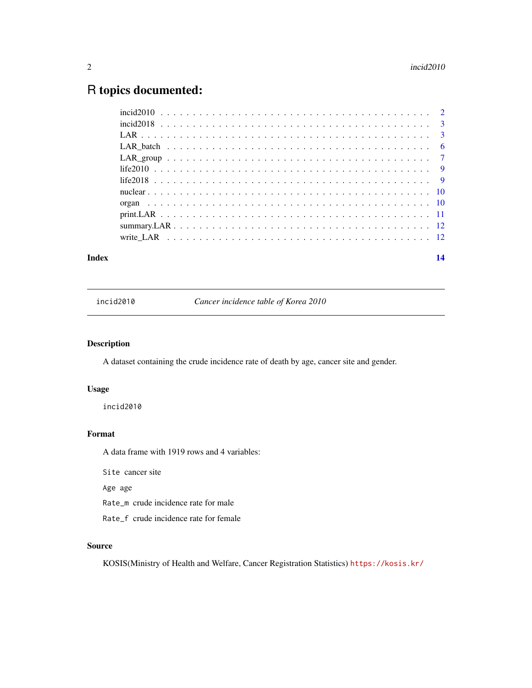# <span id="page-1-0"></span>R topics documented:

| Index | 14 |
|-------|----|
|       |    |
|       |    |
|       |    |
|       |    |
|       |    |
|       |    |
|       |    |
|       |    |
|       |    |
|       |    |
|       |    |
|       |    |

incid2010 *Cancer incidence table of Korea 2010*

#### Description

A dataset containing the crude incidence rate of death by age, cancer site and gender.

#### Usage

incid2010

#### Format

A data frame with 1919 rows and 4 variables:

Site cancer site

Age age

Rate\_m crude incidence rate for male

Rate\_f crude incidence rate for female

#### Source

KOSIS(Ministry of Health and Welfare, Cancer Registration Statistics) <https://kosis.kr/>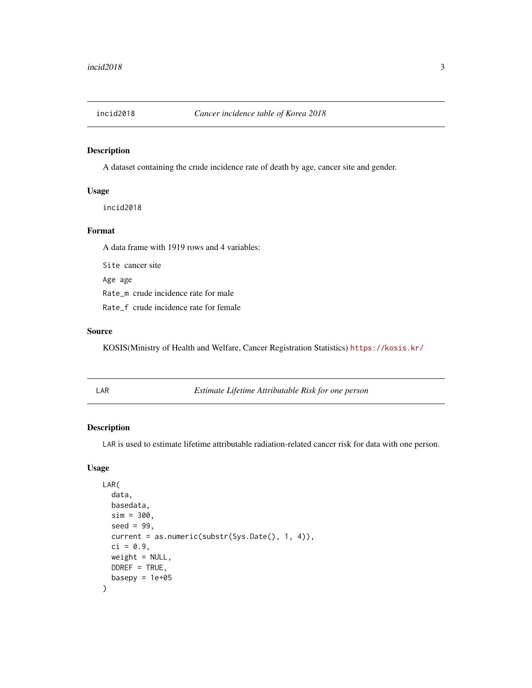<span id="page-2-0"></span>

A dataset containing the crude incidence rate of death by age, cancer site and gender.

#### Usage

incid2018

#### Format

A data frame with 1919 rows and 4 variables:

Site cancer site Age age Rate\_m crude incidence rate for male Rate\_f crude incidence rate for female

#### Source

KOSIS(Ministry of Health and Welfare, Cancer Registration Statistics) <https://kosis.kr/>

<span id="page-2-1"></span>LAR *Estimate Lifetime Attributable Risk for one person*

#### Description

LAR is used to estimate lifetime attributable radiation-related cancer risk for data with one person.

#### Usage

```
LAR(
  data,
 basedata,
  sim = 300,seed = 99,
  current = as.numeric(substr(Sys.Date(), 1, 4)),
  ci = 0.9,weight = NULL,DDREF = TRUE,basepy = 1e+05)
```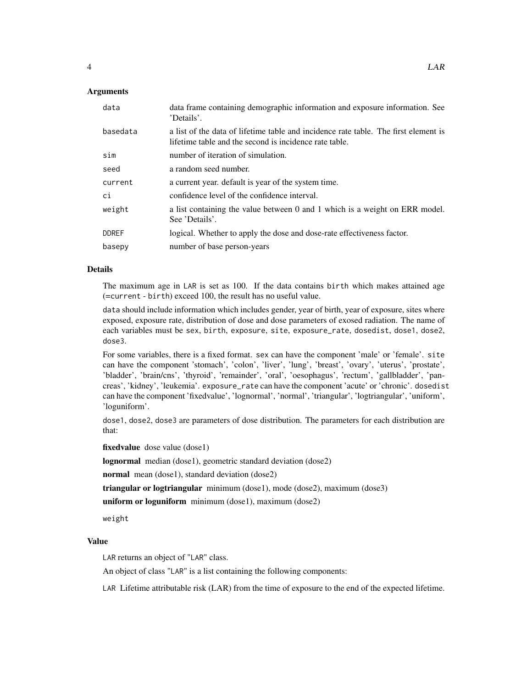#### **Arguments**

| data         | data frame containing demographic information and exposure information. See<br>'Details'.                                                     |
|--------------|-----------------------------------------------------------------------------------------------------------------------------------------------|
| basedata     | a list of the data of lifetime table and incidence rate table. The first element is<br>lifetime table and the second is incidence rate table. |
| sim          | number of iteration of simulation.                                                                                                            |
| seed         | a random seed number.                                                                                                                         |
| current      | a current year. default is year of the system time.                                                                                           |
| ci           | confidence level of the confidence interval.                                                                                                  |
| weight       | a list containing the value between 0 and 1 which is a weight on ERR model.<br>See 'Details'.                                                 |
| <b>DDREF</b> | logical. Whether to apply the dose and dose-rate effectiveness factor.                                                                        |
| basepy       | number of base person-years                                                                                                                   |

#### Details

The maximum age in LAR is set as 100. If the data contains birth which makes attained age (=current - birth) exceed 100, the result has no useful value.

data should include information which includes gender, year of birth, year of exposure, sites where exposed, exposure rate, distribution of dose and dose parameters of exosed radiation. The name of each variables must be sex, birth, exposure, site, exposure\_rate, dosedist, dose1, dose2, dose3.

For some variables, there is a fixed format. sex can have the component 'male' or 'female'. site can have the component 'stomach', 'colon', 'liver', 'lung', 'breast', 'ovary', 'uterus', 'prostate', 'bladder', 'brain/cns', 'thyroid', 'remainder', 'oral', 'oesophagus', 'rectum', 'gallbladder', 'pancreas', 'kidney', 'leukemia'. exposure\_rate can have the component 'acute' or 'chronic'. dosedist can have the component 'fixedvalue', 'lognormal', 'normal', 'triangular', 'logtriangular', 'uniform', 'loguniform'.

dose1, dose2, dose3 are parameters of dose distribution. The parameters for each distribution are that:

fixedvalue dose value (dose1)

lognormal median (dose1), geometric standard deviation (dose2)

normal mean (dose1), standard deviation (dose2)

triangular or logtriangular minimum (dose1), mode (dose2), maximum (dose3)

uniform or loguniform minimum (dose1), maximum (dose2)

weight

#### Value

LAR returns an object of "LAR" class.

An object of class "LAR" is a list containing the following components:

LAR Lifetime attributable risk (LAR) from the time of exposure to the end of the expected lifetime.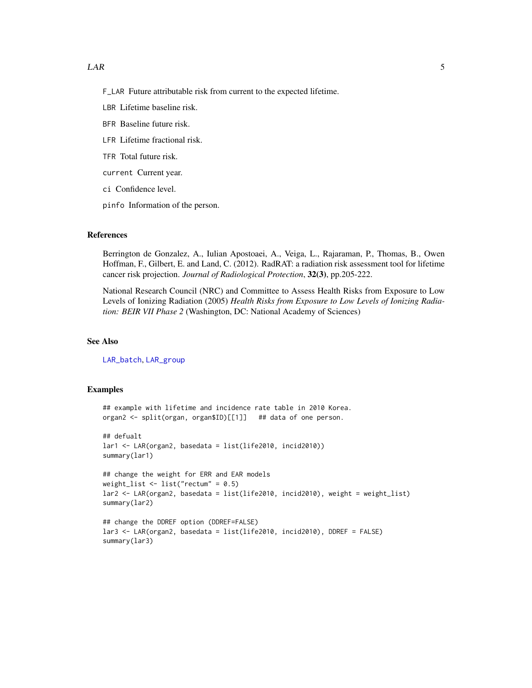- <span id="page-4-0"></span>F\_LAR Future attributable risk from current to the expected lifetime.
- LBR Lifetime baseline risk.
- BFR Baseline future risk.
- LFR Lifetime fractional risk.
- TFR Total future risk.
- current Current year.
- ci Confidence level.
- pinfo Information of the person.

#### References

Berrington de Gonzalez, A., Iulian Apostoaei, A., Veiga, L., Rajaraman, P., Thomas, B., Owen Hoffman, F., Gilbert, E. and Land, C. (2012). RadRAT: a radiation risk assessment tool for lifetime cancer risk projection. *Journal of Radiological Protection*, 32(3), pp.205-222.

National Research Council (NRC) and Committee to Assess Health Risks from Exposure to Low Levels of Ionizing Radiation (2005) *Health Risks from Exposure to Low Levels of Ionizing Radiation: BEIR VII Phase 2* (Washington, DC: National Academy of Sciences)

#### See Also

[LAR\\_batch](#page-5-1), [LAR\\_group](#page-6-1)

#### Examples

```
## example with lifetime and incidence rate table in 2010 Korea.
organ2 <- split(organ, organ$ID)[[1]] ## data of one person.
## defualt
lar1 <- LAR(organ2, basedata = list(life2010, incid2010))
summary(lar1)
## change the weight for ERR and EAR models
weight_list \le list("rectum" = 0.5)
lar2 <- LAR(organ2, basedata = list(life2010, incid2010), weight = weight_list)
summary(lar2)
## change the DDREF option (DDREF=FALSE)
lar3 <- LAR(organ2, basedata = list(life2010, incid2010), DDREF = FALSE)
summary(lar3)
```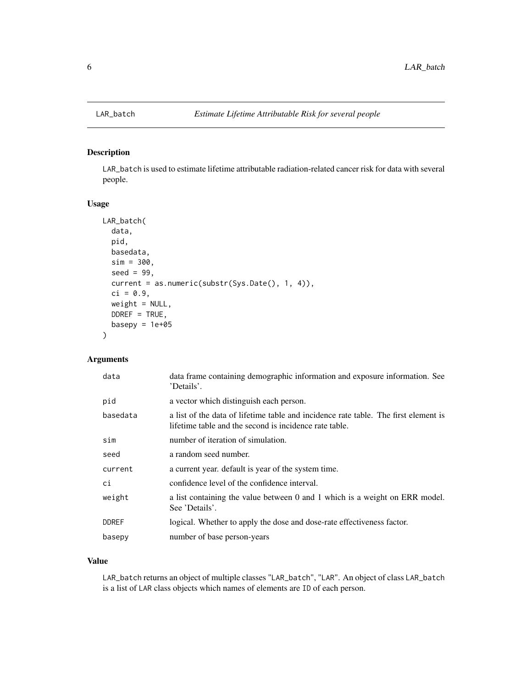LAR\_batch is used to estimate lifetime attributable radiation-related cancer risk for data with several people.

#### Usage

```
LAR_batch(
  data,
 pid,
 basedata,
  sim = 300,
  seed = 99,
  current = as.numeric(substr(Sys.Date(), 1, 4)),
  ci = 0.9,weight = NULL,DDREF = TRUE,basepy = 1e+05)
```
#### Arguments

| data         | data frame containing demographic information and exposure information. See<br>'Details'.                                                     |
|--------------|-----------------------------------------------------------------------------------------------------------------------------------------------|
| pid          | a vector which distinguish each person.                                                                                                       |
| basedata     | a list of the data of lifetime table and incidence rate table. The first element is<br>lifetime table and the second is incidence rate table. |
| sim          | number of iteration of simulation.                                                                                                            |
| seed         | a random seed number.                                                                                                                         |
| current      | a current year. default is year of the system time.                                                                                           |
| ci           | confidence level of the confidence interval.                                                                                                  |
| weight       | a list containing the value between 0 and 1 which is a weight on ERR model.<br>See 'Details'.                                                 |
| <b>DDREF</b> | logical. Whether to apply the dose and dose-rate effectiveness factor.                                                                        |
| basepy       | number of base person-years                                                                                                                   |

#### Value

LAR\_batch returns an object of multiple classes "LAR\_batch", "LAR". An object of class LAR\_batch is a list of LAR class objects which names of elements are ID of each person.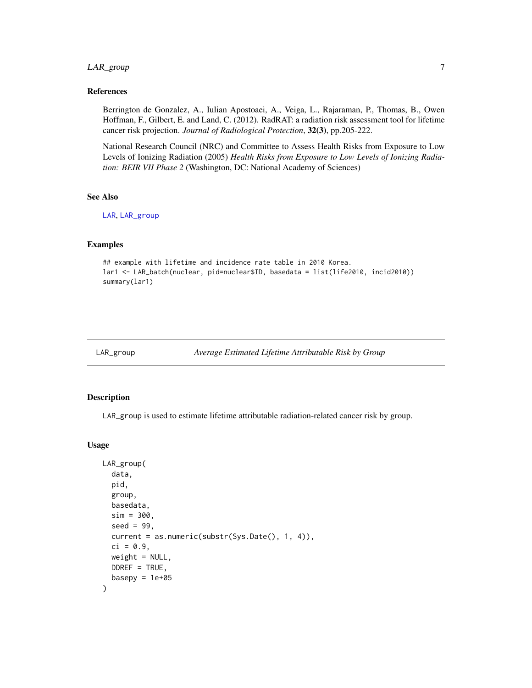#### <span id="page-6-0"></span>LAR\_group 7

#### References

Berrington de Gonzalez, A., Iulian Apostoaei, A., Veiga, L., Rajaraman, P., Thomas, B., Owen Hoffman, F., Gilbert, E. and Land, C. (2012). RadRAT: a radiation risk assessment tool for lifetime cancer risk projection. *Journal of Radiological Protection*, 32(3), pp.205-222.

National Research Council (NRC) and Committee to Assess Health Risks from Exposure to Low Levels of Ionizing Radiation (2005) *Health Risks from Exposure to Low Levels of Ionizing Radiation: BEIR VII Phase 2* (Washington, DC: National Academy of Sciences)

#### See Also

[LAR](#page-2-1), [LAR\\_group](#page-6-1)

#### Examples

```
## example with lifetime and incidence rate table in 2010 Korea.
lar1 <- LAR_batch(nuclear, pid=nuclear$ID, basedata = list(life2010, incid2010))
summary(lar1)
```
<span id="page-6-1"></span>LAR\_group *Average Estimated Lifetime Attributable Risk by Group*

#### Description

LAR\_group is used to estimate lifetime attributable radiation-related cancer risk by group.

#### Usage

```
LAR_group(
  data,
  pid,
  group,
  basedata,
  sim = 300,seed = 99,
  current = as.numeric(substr(Sys.Date(), 1, 4)),
  ci = 0.9,weight = NULL,DDREF = TRUE,basepy = 1e+05)
```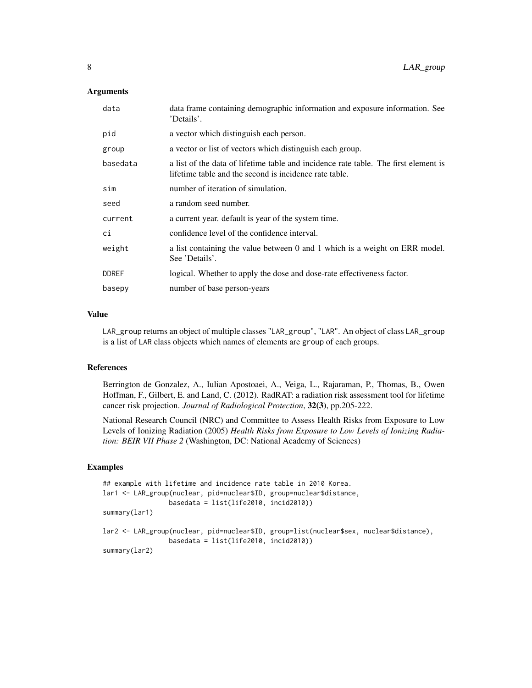#### **Arguments**

| data frame containing demographic information and exposure information. See<br>'Details'.                                                     |
|-----------------------------------------------------------------------------------------------------------------------------------------------|
| a vector which distinguish each person.                                                                                                       |
| a vector or list of vectors which distinguish each group.                                                                                     |
| a list of the data of lifetime table and incidence rate table. The first element is<br>lifetime table and the second is incidence rate table. |
| number of iteration of simulation.                                                                                                            |
| a random seed number.                                                                                                                         |
| a current year. default is year of the system time.                                                                                           |
| confidence level of the confidence interval.                                                                                                  |
| a list containing the value between 0 and 1 which is a weight on ERR model.<br>See 'Details'.                                                 |
| logical. Whether to apply the dose and dose-rate effectiveness factor.                                                                        |
| number of base person-years                                                                                                                   |
|                                                                                                                                               |

#### Value

LAR\_group returns an object of multiple classes "LAR\_group", "LAR". An object of class LAR\_group is a list of LAR class objects which names of elements are group of each groups.

#### References

Berrington de Gonzalez, A., Iulian Apostoaei, A., Veiga, L., Rajaraman, P., Thomas, B., Owen Hoffman, F., Gilbert, E. and Land, C. (2012). RadRAT: a radiation risk assessment tool for lifetime cancer risk projection. *Journal of Radiological Protection*, 32(3), pp.205-222.

National Research Council (NRC) and Committee to Assess Health Risks from Exposure to Low Levels of Ionizing Radiation (2005) *Health Risks from Exposure to Low Levels of Ionizing Radiation: BEIR VII Phase 2* (Washington, DC: National Academy of Sciences)

#### Examples

```
## example with lifetime and incidence rate table in 2010 Korea.
lar1 <- LAR_group(nuclear, pid=nuclear$ID, group=nuclear$distance,
                 basedata = list(life2010, incid2010))
summary(lar1)
lar2 <- LAR_group(nuclear, pid=nuclear$ID, group=list(nuclear$sex, nuclear$distance),
                 basedata = list(life2010, incid2010))
summary(lar2)
```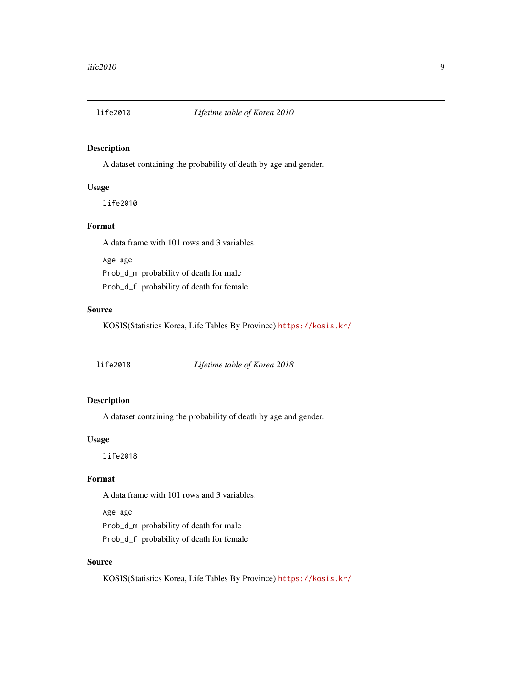<span id="page-8-0"></span>

A dataset containing the probability of death by age and gender.

#### Usage

life2010

#### Format

A data frame with 101 rows and 3 variables:

Age age Prob\_d\_m probability of death for male Prob\_d\_f probability of death for female

#### Source

KOSIS(Statistics Korea, Life Tables By Province) <https://kosis.kr/>

life2018 *Lifetime table of Korea 2018*

#### Description

A dataset containing the probability of death by age and gender.

#### Usage

life2018

#### Format

A data frame with 101 rows and 3 variables:

Age age

Prob\_d\_m probability of death for male

Prob\_d\_f probability of death for female

#### Source

KOSIS(Statistics Korea, Life Tables By Province) <https://kosis.kr/>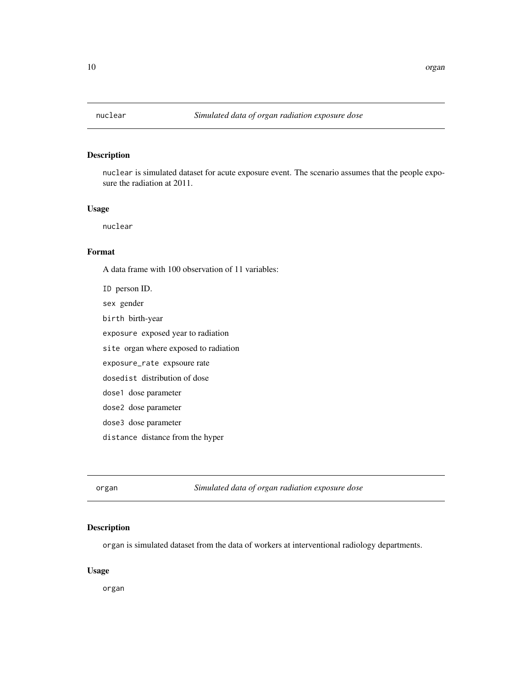<span id="page-9-0"></span>

nuclear is simulated dataset for acute exposure event. The scenario assumes that the people exposure the radiation at 2011.

#### Usage

nuclear

#### Format

A data frame with 100 observation of 11 variables: ID person ID. sex gender birth birth-year exposure exposed year to radiation site organ where exposed to radiation exposure\_rate expsoure rate dosedist distribution of dose dose1 dose parameter dose2 dose parameter dose3 dose parameter distance distance from the hyper

organ *Simulated data of organ radiation exposure dose*

#### Description

organ is simulated dataset from the data of workers at interventional radiology departments.

#### Usage

organ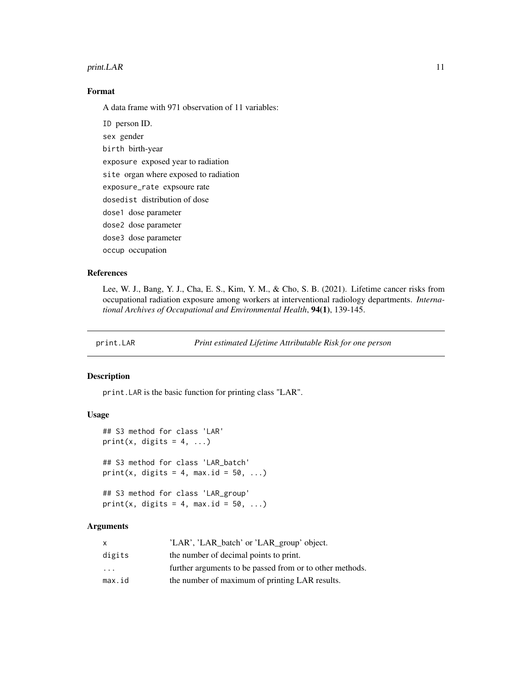#### <span id="page-10-0"></span>print.LAR 11

#### Format

A data frame with 971 observation of 11 variables:

ID person ID. sex gender birth birth-year exposure exposed year to radiation site organ where exposed to radiation exposure\_rate expsoure rate dosedist distribution of dose dose1 dose parameter dose2 dose parameter dose3 dose parameter occup occupation

#### References

Lee, W. J., Bang, Y. J., Cha, E. S., Kim, Y. M., & Cho, S. B. (2021). Lifetime cancer risks from occupational radiation exposure among workers at interventional radiology departments. *International Archives of Occupational and Environmental Health*, 94(1), 139-145.

print.LAR *Print estimated Lifetime Attributable Risk for one person*

#### Description

print.LAR is the basic function for printing class "LAR".

#### Usage

```
## S3 method for class 'LAR'
print(x, digits = 4, ...)
## S3 method for class 'LAR_batch'
print(x, digits = 4, max.id = 50, ...)
## S3 method for class 'LAR_group'
```
print(x, digits = 4, max.id = 50, ...)

#### Arguments

| X                       | 'LAR', 'LAR_batch' or 'LAR_group' object.                |
|-------------------------|----------------------------------------------------------|
| digits                  | the number of decimal points to print.                   |
| $\cdot$ $\cdot$ $\cdot$ | further arguments to be passed from or to other methods. |
| max.id                  | the number of maximum of printing LAR results.           |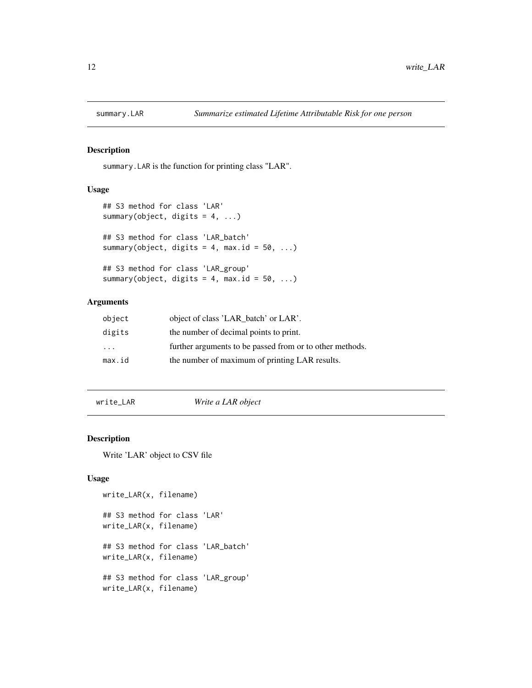<span id="page-11-0"></span>

summary.LAR is the function for printing class "LAR".

#### Usage

```
## S3 method for class 'LAR'
summary(object, digits = 4, ...)
## S3 method for class 'LAR_batch'
summary(object, digits = 4, max.id = 50, ...)
## S3 method for class 'LAR_group'
summary(object, digits = 4, max.id = 50, ...)
```
#### Arguments

| object | object of class 'LAR_batch' or LAR'.                     |
|--------|----------------------------------------------------------|
| digits | the number of decimal points to print.                   |
| .      | further arguments to be passed from or to other methods. |
| max.id | the number of maximum of printing LAR results.           |

write\_LAR *Write a LAR object*

#### Description

Write 'LAR' object to CSV file

#### Usage

```
write_LAR(x, filename)
## S3 method for class 'LAR'
write_LAR(x, filename)
## S3 method for class 'LAR_batch'
write_LAR(x, filename)
## S3 method for class 'LAR_group'
write_LAR(x, filename)
```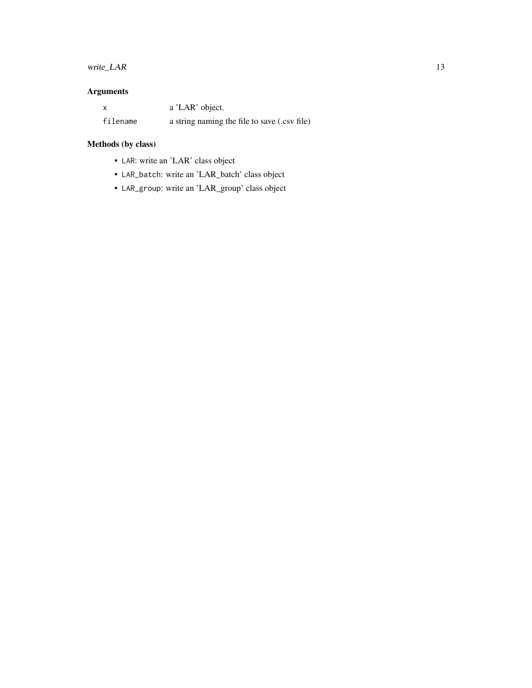#### write\_LAR 13

### Arguments

|          | a 'LAR' object.                              |
|----------|----------------------------------------------|
| filename | a string naming the file to save (.csv file) |

## Methods (by class)

- LAR: write an 'LAR' class object
- LAR\_batch: write an 'LAR\_batch' class object
- LAR\_group: write an 'LAR\_group' class object